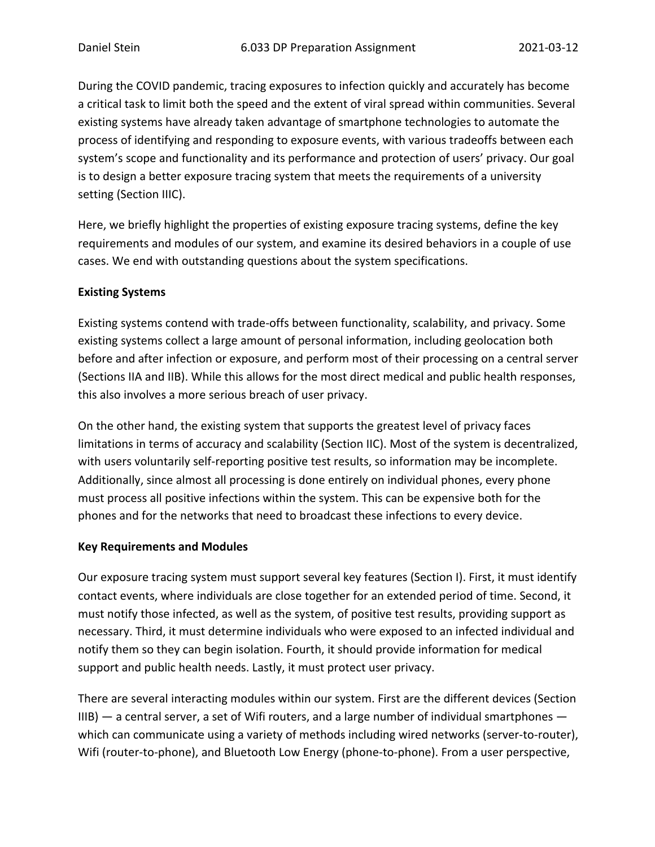During the COVID pandemic, tracing exposures to infection quickly and accurately has become a critical task to limit both the speed and the extent of viral spread within communities. Several existing systems have already taken advantage of smartphone technologies to automate the process of identifying and responding to exposure events, with various tradeoffs between each system's scope and functionality and its performance and protection of users' privacy. Our goal is to design a better exposure tracing system that meets the requirements of a university setting (Section IIIC).

Here, we briefly highlight the properties of existing exposure tracing systems, define the key requirements and modules of our system, and examine its desired behaviors in a couple of use cases. We end with outstanding questions about the system specifications.

## **Existing Systems**

Existing systems contend with trade-offs between functionality, scalability, and privacy. Some existing systems collect a large amount of personal information, including geolocation both before and after infection or exposure, and perform most of their processing on a central server (Sections IIA and IIB). While this allows for the most direct medical and public health responses, this also involves a more serious breach of user privacy.

On the other hand, the existing system that supports the greatest level of privacy faces limitations in terms of accuracy and scalability (Section IIC). Most of the system is decentralized, with users voluntarily self-reporting positive test results, so information may be incomplete. Additionally, since almost all processing is done entirely on individual phones, every phone must process all positive infections within the system. This can be expensive both for the phones and for the networks that need to broadcast these infections to every device.

## **Key Requirements and Modules**

Our exposure tracing system must support several key features (Section I). First, it must identify contact events, where individuals are close together for an extended period of time. Second, it must notify those infected, as well as the system, of positive test results, providing support as necessary. Third, it must determine individuals who were exposed to an infected individual and notify them so they can begin isolation. Fourth, it should provide information for medical support and public health needs. Lastly, it must protect user privacy.

There are several interacting modules within our system. First are the different devices (Section  $IIIB$ )  $-$  a central server, a set of Wifi routers, and a large number of individual smartphones  $$ which can communicate using a variety of methods including wired networks (server-to-router), Wifi (router-to-phone), and Bluetooth Low Energy (phone-to-phone). From a user perspective,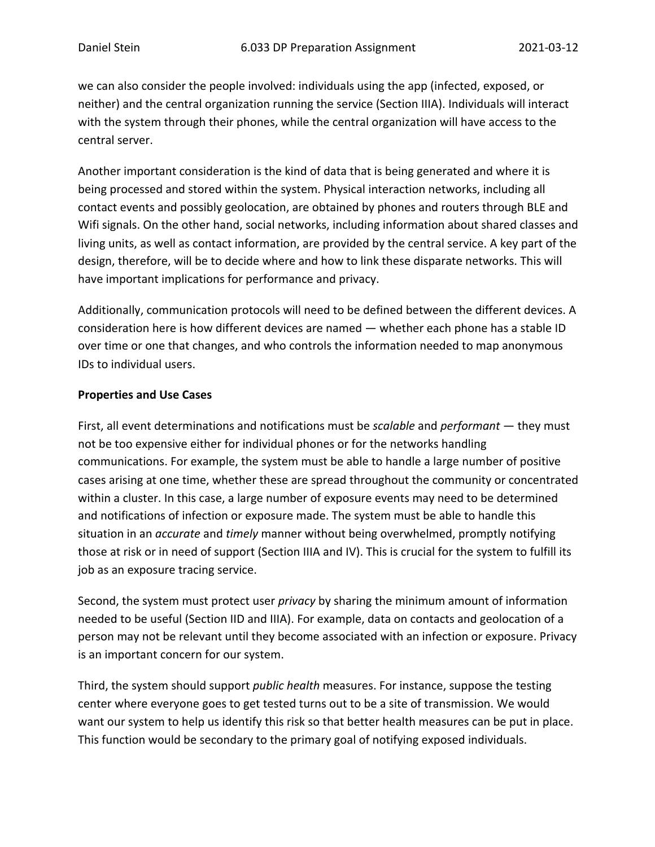we can also consider the people involved: individuals using the app (infected, exposed, or neither) and the central organization running the service (Section IIIA). Individuals will interact with the system through their phones, while the central organization will have access to the central server.

Another important consideration is the kind of data that is being generated and where it is being processed and stored within the system. Physical interaction networks, including all contact events and possibly geolocation, are obtained by phones and routers through BLE and Wifi signals. On the other hand, social networks, including information about shared classes and living units, as well as contact information, are provided by the central service. A key part of the design, therefore, will be to decide where and how to link these disparate networks. This will have important implications for performance and privacy.

Additionally, communication protocols will need to be defined between the different devices. A consideration here is how different devices are named — whether each phone has a stable ID over time or one that changes, and who controls the information needed to map anonymous IDs to individual users.

## **Properties and Use Cases**

First, all event determinations and notifications must be *scalable* and *performant* — they must not be too expensive either for individual phones or for the networks handling communications. For example, the system must be able to handle a large number of positive cases arising at one time, whether these are spread throughout the community or concentrated within a cluster. In this case, a large number of exposure events may need to be determined and notifications of infection or exposure made. The system must be able to handle this situation in an *accurate* and *timely* manner without being overwhelmed, promptly notifying those at risk or in need of support (Section IIIA and IV). This is crucial for the system to fulfill its job as an exposure tracing service.

Second, the system must protect user *privacy* by sharing the minimum amount of information needed to be useful (Section IID and IIIA). For example, data on contacts and geolocation of a person may not be relevant until they become associated with an infection or exposure. Privacy is an important concern for our system.

Third, the system should support *public health* measures. For instance, suppose the testing center where everyone goes to get tested turns out to be a site of transmission. We would want our system to help us identify this risk so that better health measures can be put in place. This function would be secondary to the primary goal of notifying exposed individuals.